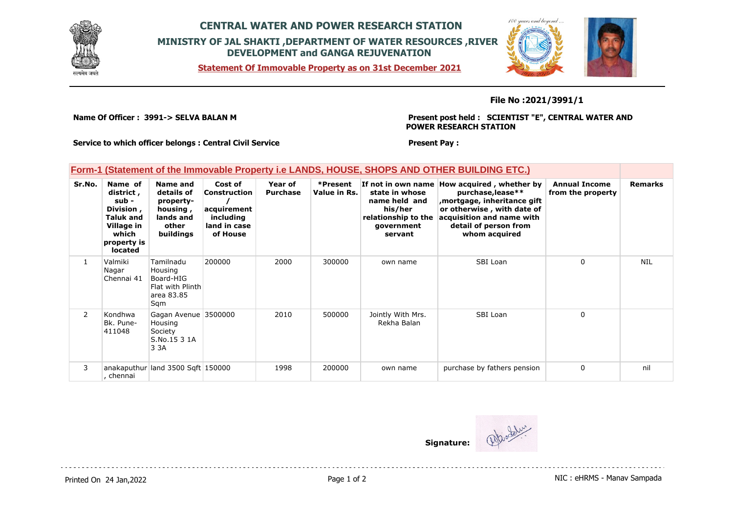

## **CENTRAL WATER AND POWER RESEARCH STATION MINISTRY OF JAL SHAKTI ,DEPARTMENT OF WATER RESOURCES ,RIVER DEVELOPMENT and GANGA REJUVENATION**

**Statement Of Immovable Property as on 31st December 2021**



### **File No :2021/3991/1**

**Name Of Officer : 3991-> SELVA BALAN M** 

**Present post held : SCIENTIST "E", CENTRAL WATER AND POWER RESEARCH STATION**

**Service to which officer belongs : Central Civil Service**

#### **Present Pay :**

## **Form-1 (Statement of the Immovable Property i.e LANDS, HOUSE, SHOPS AND OTHER BUILDING ETC.)**

| Sr.No.       | Name of<br>district,<br>sub -<br>Division,<br><b>Taluk and</b><br>Village in<br>which<br>property is<br><b>located</b> | Name and<br>details of<br>property-<br>housing,<br>lands and<br>other<br>buildings | Cost of<br>Construction<br>acquirement<br>including<br>land in case<br>of House | Year of<br><b>Purchase</b> | *Present<br>Value in Rs. | state in whose<br>name held and<br>his/her<br>relationship to the<br>government<br>servant | If not in own name How acquired, whether by<br>purchase, lease**<br>mortgage, inheritance gift<br>or otherwise, with date of<br>acquisition and name with<br>detail of person from<br>whom acquired | <b>Annual Income</b><br>from the property | <b>Remarks</b> |
|--------------|------------------------------------------------------------------------------------------------------------------------|------------------------------------------------------------------------------------|---------------------------------------------------------------------------------|----------------------------|--------------------------|--------------------------------------------------------------------------------------------|-----------------------------------------------------------------------------------------------------------------------------------------------------------------------------------------------------|-------------------------------------------|----------------|
|              | Valmiki<br>Nagar<br>Chennai 41                                                                                         | Tamilnadu<br>Housing<br>Board-HIG<br>Flat with Plinth<br>area 83.85<br>Sqm         | 200000                                                                          | 2000                       | 300000                   | own name                                                                                   | SBI Loan                                                                                                                                                                                            | $\Omega$                                  | <b>NIL</b>     |
| $\mathbf{2}$ | Kondhwa<br>Bk. Pune-<br>411048                                                                                         | Gagan Avenue 3500000<br>Housing<br>Society<br>S.No.15 3 1A<br>3 3 A                |                                                                                 | 2010                       | 500000                   | Jointly With Mrs.<br>Rekha Balan                                                           | SBI Loan                                                                                                                                                                                            | $\Omega$                                  |                |
| 3            | chennai                                                                                                                | anakaputhur land 3500 Sqft 150000                                                  |                                                                                 | 1998                       | 200000                   | own name                                                                                   | purchase by fathers pension                                                                                                                                                                         | $\Omega$                                  | nil            |

**Signature:**

Printed On 24 Jan, 2022 2001 12:00 Page 1 of 2 Page 1 of 2 NIC : eHRMS - Manav Sampada